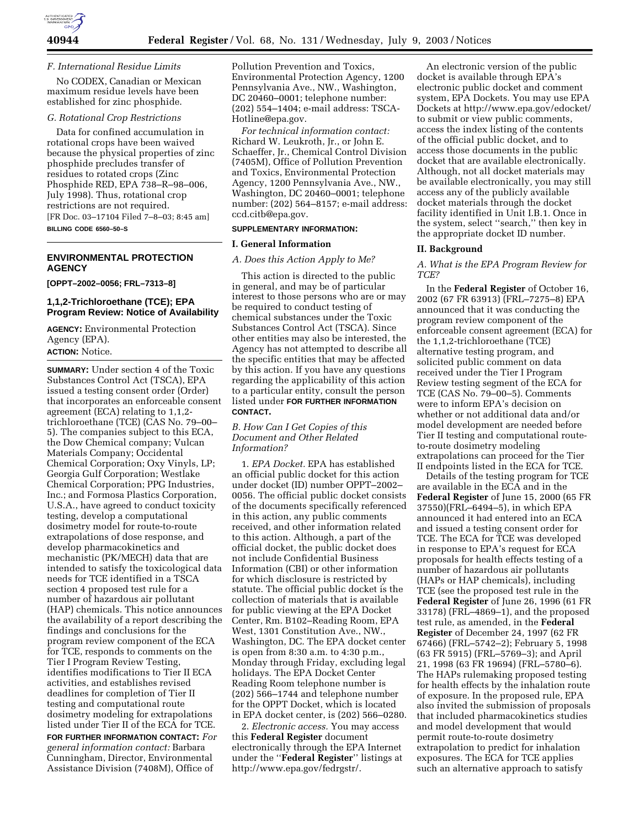

### *F. International Residue Limits*

No CODEX, Canadian or Mexican maximum residue levels have been established for zinc phosphide.

#### *G. Rotational Crop Restrictions*

Data for confined accumulation in rotational crops have been waived because the physical properties of zinc phosphide precludes transfer of residues to rotated crops (Zinc Phosphide RED, EPA 738–R–98–006, July 1998). Thus, rotational crop restrictions are not required. [FR Doc. 03–17104 Filed 7–8–03; 8:45 am] **BILLING CODE 6560–50–S**

## **ENVIRONMENTAL PROTECTION AGENCY**

**[OPPT–2002–0056; FRL–7313–8]** 

### **1,1,2-Trichloroethane (TCE); EPA Program Review: Notice of Availability**

**AGENCY:** Environmental Protection Agency (EPA). **ACTION:** Notice.

**SUMMARY:** Under section 4 of the Toxic Substances Control Act (TSCA), EPA issued a testing consent order (Order) that incorporates an enforceable consent agreement (ECA) relating to 1,1,2 trichloroethane (TCE) (CAS No. 79–00– 5). The companies subject to this ECA, the Dow Chemical company; Vulcan Materials Company; Occidental Chemical Corporation; Oxy Vinyls, LP; Georgia Gulf Corporation; Westlake Chemical Corporation; PPG Industries, Inc.; and Formosa Plastics Corporation, U.S.A., have agreed to conduct toxicity testing, develop a computational dosimetry model for route-to-route extrapolations of dose response, and develop pharmacokinetics and mechanistic (PK/MECH) data that are intended to satisfy the toxicological data needs for TCE identified in a TSCA section 4 proposed test rule for a number of hazardous air pollutant (HAP) chemicals. This notice announces the availability of a report describing the findings and conclusions for the program review component of the ECA for TCE, responds to comments on the Tier I Program Review Testing, identifies modifications to Tier II ECA activities, and establishes revised deadlines for completion of Tier II testing and computational route dosimetry modeling for extrapolations listed under Tier II of the ECA for TCE.

**FOR FURTHER INFORMATION CONTACT:** *For general information contact:* Barbara Cunningham, Director, Environmental Assistance Division (7408M), Office of

Pollution Prevention and Toxics, Environmental Protection Agency, 1200 Pennsylvania Ave., NW., Washington, DC 20460–0001; telephone number: (202) 554–1404; e-mail address: TSCA-Hotline@epa.gov.

*For technical information contact:* Richard W. Leukroth, Jr., or John E. Schaeffer, Jr., Chemical Control Division (7405M), Office of Pollution Prevention and Toxics, Environmental Protection Agency, 1200 Pennsylvania Ave., NW., Washington, DC 20460–0001; telephone number: (202) 564–8157; e-mail address: ccd.citb@epa.gov.

### **SUPPLEMENTARY INFORMATION:**

#### **I. General Information**

#### *A. Does this Action Apply to Me?*

This action is directed to the public in general, and may be of particular interest to those persons who are or may be required to conduct testing of chemical substances under the Toxic Substances Control Act (TSCA). Since other entities may also be interested, the Agency has not attempted to describe all the specific entities that may be affected by this action. If you have any questions regarding the applicability of this action to a particular entity, consult the person listed under **FOR FURTHER INFORMATION CONTACT.**

### *B. How Can I Get Copies of this Document and Other Related Information?*

1. *EPA Docket.* EPA has established an official public docket for this action under docket (ID) number OPPT–2002– 0056. The official public docket consists of the documents specifically referenced in this action, any public comments received, and other information related to this action. Although, a part of the official docket, the public docket does not include Confidential Business Information (CBI) or other information for which disclosure is restricted by statute. The official public docket is the collection of materials that is available for public viewing at the EPA Docket Center, Rm. B102–Reading Room, EPA West, 1301 Constitution Ave., NW., Washington, DC. The EPA docket center is open from 8:30 a.m. to 4:30 p.m., Monday through Friday, excluding legal holidays. The EPA Docket Center Reading Room telephone number is (202) 566–1744 and telephone number for the OPPT Docket, which is located in EPA docket center, is (202) 566–0280.

2. *Electronic access.* You may access this **Federal Register** document electronically through the EPA Internet under the ''**Federal Register**'' listings at http://www.epa.gov/fedrgstr/.

An electronic version of the public docket is available through EPA's electronic public docket and comment system, EPA Dockets. You may use EPA Dockets at http://www.epa.gov/edocket/ to submit or view public comments, access the index listing of the contents of the official public docket, and to access those documents in the public docket that are available electronically. Although, not all docket materials may be available electronically, you may still access any of the publicly available docket materials through the docket facility identified in Unit I.B.1. Once in the system, select ''search,'' then key in the appropriate docket ID number.

#### **II. Background**

### *A. What is the EPA Program Review for TCE?*

In the **Federal Register** of October 16, 2002 (67 FR 63913) (FRL–7275–8) EPA announced that it was conducting the program review component of the enforceable consent agreement (ECA) for the 1,1,2-trichloroethane (TCE) alternative testing program, and solicited public comment on data received under the Tier I Program Review testing segment of the ECA for TCE (CAS No. 79–00–5). Comments were to inform EPA's decision on whether or not additional data and/or model development are needed before Tier II testing and computational routeto-route dosimetry modeling extrapolations can proceed for the Tier II endpoints listed in the ECA for TCE.

Details of the testing program for TCE are available in the ECA and in the **Federal Register** of June 15, 2000 (65 FR 37550)(FRL–6494–5), in which EPA announced it had entered into an ECA and issued a testing consent order for TCE. The ECA for TCE was developed in response to EPA's request for ECA proposals for health effects testing of a number of hazardous air pollutants (HAPs or HAP chemicals), including TCE (see the proposed test rule in the **Federal Register** of June 26, 1996 (61 FR 33178) (FRL–4869–1), and the proposed test rule, as amended, in the **Federal Register** of December 24, 1997 (62 FR 67466) (FRL–5742–2); February 5, 1998 (63 FR 5915) (FRL–5769–3); and April 21, 1998 (63 FR 19694) (FRL–5780–6). The HAPs rulemaking proposed testing for health effects by the inhalation route of exposure. In the proposed rule, EPA also invited the submission of proposals that included pharmacokinetics studies and model development that would permit route-to-route dosimetry extrapolation to predict for inhalation exposures. The ECA for TCE applies such an alternative approach to satisfy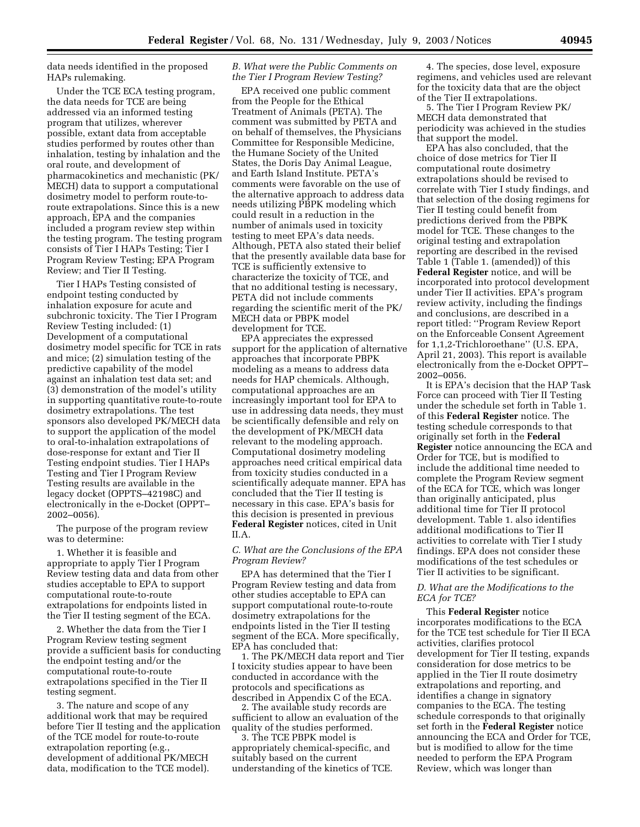data needs identified in the proposed HAPs rulemaking.

Under the TCE ECA testing program, the data needs for TCE are being addressed via an informed testing program that utilizes, wherever possible, extant data from acceptable studies performed by routes other than inhalation, testing by inhalation and the oral route, and development of pharmacokinetics and mechanistic (PK/ MECH) data to support a computational dosimetry model to perform route-toroute extrapolations. Since this is a new approach, EPA and the companies included a program review step within the testing program. The testing program consists of Tier I HAPs Testing; Tier I Program Review Testing; EPA Program Review; and Tier II Testing.

Tier I HAPs Testing consisted of endpoint testing conducted by inhalation exposure for acute and subchronic toxicity. The Tier I Program Review Testing included: (1) Development of a computational dosimetry model specific for TCE in rats and mice; (2) simulation testing of the predictive capability of the model against an inhalation test data set; and (3) demonstration of the model's utility in supporting quantitative route-to-route dosimetry extrapolations. The test sponsors also developed PK/MECH data to support the application of the model to oral-to-inhalation extrapolations of dose-response for extant and Tier II Testing endpoint studies. Tier I HAPs Testing and Tier I Program Review Testing results are available in the legacy docket (OPPTS–42198C) and electronically in the e-Docket (OPPT– 2002–0056).

The purpose of the program review was to determine:

1. Whether it is feasible and appropriate to apply Tier I Program Review testing data and data from other studies acceptable to EPA to support computational route-to-route extrapolations for endpoints listed in the Tier II testing segment of the ECA.

2. Whether the data from the Tier I Program Review testing segment provide a sufficient basis for conducting the endpoint testing and/or the computational route-to-route extrapolations specified in the Tier II testing segment.

3. The nature and scope of any additional work that may be required before Tier II testing and the application of the TCE model for route-to-route extrapolation reporting (e.g. development of additional PK/MECH data, modification to the TCE model).

### *B. What were the Public Comments on the Tier I Program Review Testing?*

EPA received one public comment from the People for the Ethical Treatment of Animals (PETA). The comment was submitted by PETA and on behalf of themselves, the Physicians Committee for Responsible Medicine, the Humane Society of the United States, the Doris Day Animal League, and Earth Island Institute. PETA's comments were favorable on the use of the alternative approach to address data needs utilizing PBPK modeling which could result in a reduction in the number of animals used in toxicity testing to meet EPA's data needs. Although, PETA also stated their belief that the presently available data base for TCE is sufficiently extensive to characterize the toxicity of TCE, and that no additional testing is necessary, PETA did not include comments regarding the scientific merit of the PK/ MECH data or PBPK model development for TCE.

EPA appreciates the expressed support for the application of alternative approaches that incorporate PBPK modeling as a means to address data needs for HAP chemicals. Although, computational approaches are an increasingly important tool for EPA to use in addressing data needs, they must be scientifically defensible and rely on the development of PK/MECH data relevant to the modeling approach. Computational dosimetry modeling approaches need critical empirical data from toxicity studies conducted in a scientifically adequate manner. EPA has concluded that the Tier II testing is necessary in this case. EPA's basis for this decision is presented in previous **Federal Register** notices, cited in Unit II.A.

### *C. What are the Conclusions of the EPA Program Review?*

EPA has determined that the Tier I Program Review testing and data from other studies acceptable to EPA can support computational route-to-route dosimetry extrapolations for the endpoints listed in the Tier II testing segment of the ECA. More specifically, EPA has concluded that:

1. The PK/MECH data report and Tier I toxicity studies appear to have been conducted in accordance with the protocols and specifications as described in Appendix C of the ECA.

2. The available study records are sufficient to allow an evaluation of the quality of the studies performed.

3. The TCE PBPK model is appropriately chemical-specific, and suitably based on the current understanding of the kinetics of TCE.

4. The species, dose level, exposure regimens, and vehicles used are relevant for the toxicity data that are the object of the Tier II extrapolations.

5. The Tier I Program Review PK/ MECH data demonstrated that periodicity was achieved in the studies that support the model.

EPA has also concluded, that the choice of dose metrics for Tier II computational route dosimetry extrapolations should be revised to correlate with Tier I study findings, and that selection of the dosing regimens for Tier II testing could benefit from predictions derived from the PBPK model for TCE. These changes to the original testing and extrapolation reporting are described in the revised Table 1 (Table 1. (amended)) of this **Federal Register** notice, and will be incorporated into protocol development under Tier II activities. EPA's program review activity, including the findings and conclusions, are described in a report titled: ''Program Review Report on the Enforceable Consent Agreement for 1,1,2-Trichloroethane'' (U.S. EPA, April 21, 2003). This report is available electronically from the e-Docket OPPT– 2002–0056.

It is EPA's decision that the HAP Task Force can proceed with Tier II Testing under the schedule set forth in Table 1. of this **Federal Register** notice. The testing schedule corresponds to that originally set forth in the **Federal Register** notice announcing the ECA and Order for TCE, but is modified to include the additional time needed to complete the Program Review segment of the ECA for TCE, which was longer than originally anticipated, plus additional time for Tier II protocol development. Table 1. also identifies additional modifications to Tier II activities to correlate with Tier I study findings. EPA does not consider these modifications of the test schedules or Tier II activities to be significant.

### *D. What are the Modifications to the ECA for TCE?*

This **Federal Register** notice incorporates modifications to the ECA for the TCE test schedule for Tier II ECA activities, clarifies protocol development for Tier II testing, expands consideration for dose metrics to be applied in the Tier II route dosimetry extrapolations and reporting, and identifies a change in signatory companies to the ECA. The testing schedule corresponds to that originally set forth in the **Federal Register** notice announcing the ECA and Order for TCE, but is modified to allow for the time needed to perform the EPA Program Review, which was longer than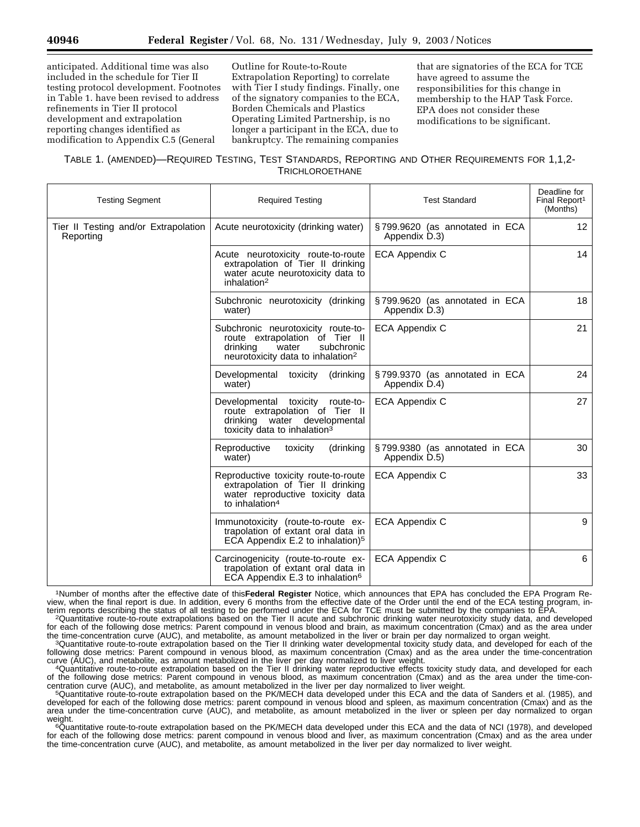anticipated. Additional time was also included in the schedule for Tier II testing protocol development. Footnotes in Table 1. have been revised to address refinements in Tier II protocol development and extrapolation reporting changes identified as modification to Appendix C.5 (General

Outline for Route-to-Route Extrapolation Reporting) to correlate with Tier I study findings. Finally, one of the signatory companies to the ECA, Borden Chemicals and Plastics Operating Limited Partnership, is no longer a participant in the ECA, due to bankruptcy. The remaining companies

that are signatories of the ECA for TCE have agreed to assume the responsibilities for this change in membership to the HAP Task Force. EPA does not consider these modifications to be significant.

# TABLE 1. (AMENDED)—REQUIRED TESTING, TEST STANDARDS, REPORTING AND OTHER REQUIREMENTS FOR 1,1,2- TRICHLOROETHANE

| <b>Testing Segment</b>                            | <b>Required Testing</b>                                                                                                                                  | <b>Test Standard</b>                            | Deadline for<br>Final Report <sup>1</sup><br>(Months) |
|---------------------------------------------------|----------------------------------------------------------------------------------------------------------------------------------------------------------|-------------------------------------------------|-------------------------------------------------------|
| Tier II Testing and/or Extrapolation<br>Reporting | Acute neurotoxicity (drinking water)                                                                                                                     | §799.9620 (as annotated in ECA<br>Appendix D.3) | 12                                                    |
|                                                   | Acute neurotoxicity route-to-route<br>extrapolation of Tier II drinking<br>water acute neurotoxicity data to<br>inhalation <sup>2</sup>                  | <b>ECA Appendix C</b>                           | 14                                                    |
|                                                   | Subchronic neurotoxicity (drinking<br>water)                                                                                                             | §799.9620 (as annotated in ECA<br>Appendix D.3) | 18                                                    |
|                                                   | Subchronic neurotoxicity route-to-<br>route extrapolation of Tier II<br>water<br>subchronic<br>drinking<br>neurotoxicity data to inhalation <sup>2</sup> | <b>ECA Appendix C</b>                           | 21                                                    |
|                                                   | (drinking<br>Developmental toxicity<br>water)                                                                                                            | §799.9370 (as annotated in ECA<br>Appendix D.4) | 24                                                    |
|                                                   | Developmental toxicity route-to-<br>route extrapolation of Tier II<br>drinking water developmental<br>toxicity data to inhalation <sup>3</sup>           | <b>ECA Appendix C</b>                           | 27                                                    |
|                                                   | Reproductive<br>(drinking<br>toxicity<br>water)                                                                                                          | §799.9380 (as annotated in ECA<br>Appendix D.5) | 30                                                    |
|                                                   | Reproductive toxicity route-to-route<br>extrapolation of Tier II drinking<br>water reproductive toxicity data<br>to inhalation <sup>4</sup>              | ECA Appendix C                                  | 33                                                    |
|                                                   | Immunotoxicity (route-to-route ex-<br>trapolation of extant oral data in<br>ECA Appendix E.2 to inhalation) <sup>5</sup>                                 | ECA Appendix C                                  | 9                                                     |
|                                                   | Carcinogenicity (route-to-route ex-<br>trapolation of extant oral data in<br>ECA Appendix E.3 to inhalation <sup>6</sup>                                 | <b>ECA Appendix C</b>                           | 6                                                     |

1Number of months after the effective date of this**Federal Register** Notice, which announces that EPA has concluded the EPA Program Review, when the final report is due. In addition, every 6 months from the effective date of the Order until the end of the ECA testing program, in-

terim reports describing the status of all testing to be performed under the ECA for TCE must be submitted by the companies to EPA.<br>Quantitative route-to-route extrapolations based on the Tier II acute and subchronic drink <sup>2</sup>Quantitative route-to-route extrapolations based on the Tier II acute and subchronic drinking water neurotoxicity study data, and developed for each of the following dose metrics: Parent compound in venous blood and bra

<sup>3</sup>Quantitative route-to-route extrapolation based on the Tier II drinking water developmental toxicity study data, and developed for each of the following dose metrics: Parent compound in venous blood, as maximum concentration (Cmax) and as the area under the time-concentration

curve (AUC), and metabolite, as amount metabolized in the liver per day normalized to liver weight.<br>4Quantitative route-to-route extrapolation based on the Tier II drinking water reproductive effects toxicity study data, a of the following dose metrics: Parent compound in venous blood, as maximum concentration (Cmax) and as the area under the time-con-<br>centration curve (AUC), and metabolite, as amount metabolized in the liver per day normali

<sup>5</sup>Quantitative route-to-route extrapolation based on the PK/MECH data developed under this ECA and the data of Sanders et al. (1985), and developed for each of the following dose metrics: parent compound in venous blood and spleen, as maximum concentration (Cmax) and as the area under the time-concentration curve (AUC), and metabolite, as amount metabolized in the liver or spleen per day normalized to organ weight.<br><sup>6</sup>Quantitative route-to-route extrapolation based on the PK/MECH data developed under this ECA and the data of NCI (1978), and developed

for each of the following dose metrics: parent compound in venous blood and liver, as maximum concentration (Cmax) and as the area under the time-concentration curve (AUC), and metabolite, as amount metabolized in the liver per day normalized to liver weight.